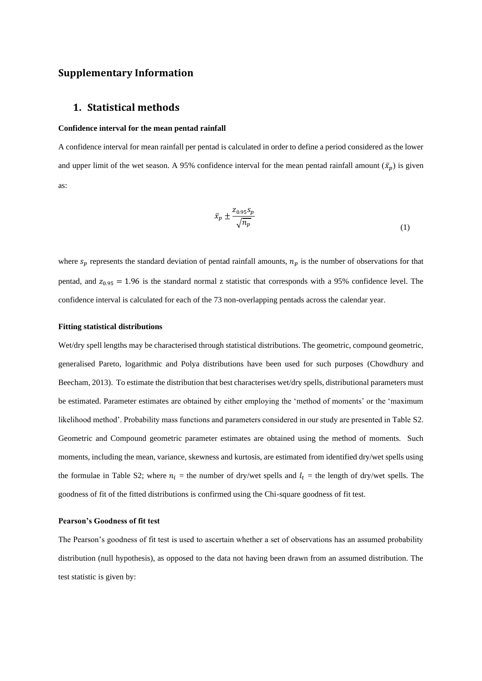## **Supplementary Information**

## **1. Statistical methods**

#### **Confidence interval for the mean pentad rainfall**

A confidence interval for mean rainfall per pentad is calculated in order to define a period considered as the lower and upper limit of the wet season. A 95% confidence interval for the mean pentad rainfall amount  $(\bar{x}_n)$  is given as:

$$
\bar{x}_p \pm \frac{z_{0.95} s_p}{\sqrt{n_p}}\tag{1}
$$

where  $s_p$  represents the standard deviation of pentad rainfall amounts,  $n_p$  is the number of observations for that pentad, and  $z_{0.95} = 1.96$  is the standard normal z statistic that corresponds with a 95% confidence level. The confidence interval is calculated for each of the 73 non-overlapping pentads across the calendar year.

#### **Fitting statistical distributions**

Wet/dry spell lengths may be characterised through statistical distributions. The geometric, compound geometric, generalised Pareto, logarithmic and Polya distributions have been used for such purposes (Chowdhury and Beecham, 2013). To estimate the distribution that best characterises wet/dry spells, distributional parameters must be estimated. Parameter estimates are obtained by either employing the 'method of moments' or the 'maximum likelihood method'. Probability mass functions and parameters considered in our study are presented in Table S2. Geometric and Compound geometric parameter estimates are obtained using the method of moments. Such moments, including the mean, variance, skewness and kurtosis, are estimated from identified dry/wet spells using the formulae in Table S2; where  $n_l$  = the number of dry/wet spells and  $l_t$  = the length of dry/wet spells. The goodness of fit of the fitted distributions is confirmed using the Chi-square goodness of fit test.

#### **Pearson's Goodness of fit test**

The Pearson's goodness of fit test is used to ascertain whether a set of observations has an assumed probability distribution (null hypothesis), as opposed to the data not having been drawn from an assumed distribution. The test statistic is given by: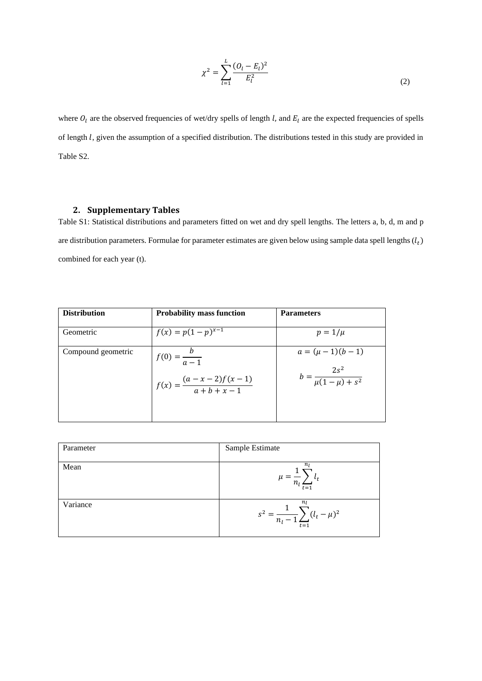$$
\chi^2 = \sum_{l=1}^{L} \frac{(O_l - E_l)^2}{E_l^2}
$$
 (2)

where  $O_l$  are the observed frequencies of wet/dry spells of length l, and  $E_l$  are the expected frequencies of spells of length *l*, given the assumption of a specified distribution. The distributions tested in this study are provided in Table S2.

# **2. Supplementary Tables**

Table S1: Statistical distributions and parameters fitted on wet and dry spell lengths. The letters a, b, d, m and p are distribution parameters. Formulae for parameter estimates are given below using sample data spell lengths  $(l_t)$ combined for each year (t).

| <b>Distribution</b> | <b>Probability mass function</b>                                 | <b>Parameters</b>                                             |
|---------------------|------------------------------------------------------------------|---------------------------------------------------------------|
| Geometric           | $f(x) = p(1-p)^{x-1}$                                            | $p=1/\mu$                                                     |
| Compound geometric  | $f(0) = \frac{b}{a-1}$<br>$f(x) = \frac{(a-x-2)f(x-1)}{a+b+x-1}$ | $a = (\mu - 1)(b - 1)$<br>$b = \frac{2s^2}{\mu(1-\mu) + s^2}$ |

| Parameter | Sample Estimate                                                                    |
|-----------|------------------------------------------------------------------------------------|
| Mean      | n <sub>I</sub><br>$\mu =$<br>$t = 1$                                               |
| Variance  | n <sub>I</sub><br>$\sum (l_t - \mu)^2$<br>$s^2 = -$<br>$n_l$ -<br>$\overline{t=1}$ |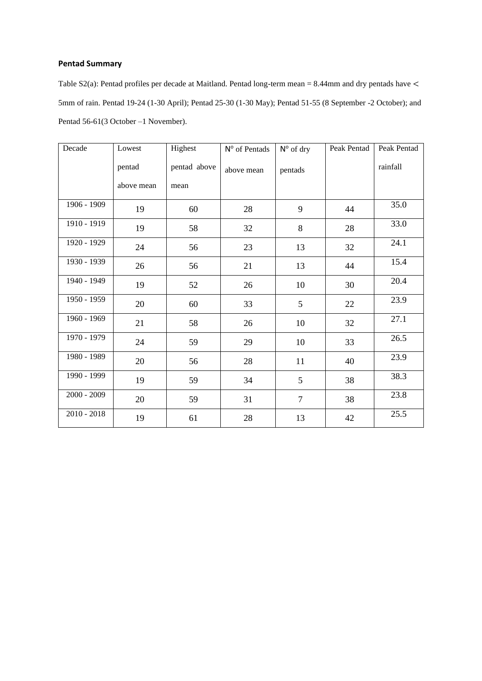# **Pentad Summary**

Table S2(a): Pentad profiles per decade at Maitland. Pentad long-term mean = 8.44mm and dry pentads have < 5mm of rain. Pentad 19-24 (1-30 April); Pentad 25-30 (1-30 May); Pentad 51-55 (8 September -2 October); and Pentad 56-61(3 October –1 November).

| Decade        | Lowest     | Highest      | N° of Pentads | $N^{\circ}$ of dry | Peak Pentad | Peak Pentad |
|---------------|------------|--------------|---------------|--------------------|-------------|-------------|
|               | pentad     | pentad above | above mean    | pentads            |             | rainfall    |
|               | above mean | mean         |               |                    |             |             |
| 1906 - 1909   | 19         | 60           | 28            | 9                  | 44          | 35.0        |
| 1910 - 1919   | 19         | 58           | 32            | 8                  | 28          | 33.0        |
| 1920 - 1929   | 24         | 56           | 23            | 13                 | 32          | 24.1        |
| 1930 - 1939   | 26         | 56           | 21            | 13                 | 44          | 15.4        |
| 1940 - 1949   | 19         | 52           | 26            | 10                 | 30          | 20.4        |
| 1950 - 1959   | 20         | 60           | 33            | 5                  | 22          | 23.9        |
| 1960 - 1969   | 21         | 58           | 26            | 10                 | 32          | 27.1        |
| 1970 - 1979   | 24         | 59           | 29            | 10                 | 33          | 26.5        |
| 1980 - 1989   | 20         | 56           | 28            | 11                 | 40          | 23.9        |
| 1990 - 1999   | 19         | 59           | 34            | 5                  | 38          | 38.3        |
| $2000 - 2009$ | 20         | 59           | 31            | $\tau$             | 38          | 23.8        |
| $2010 - 2018$ | 19         | 61           | 28            | 13                 | 42          | 25.5        |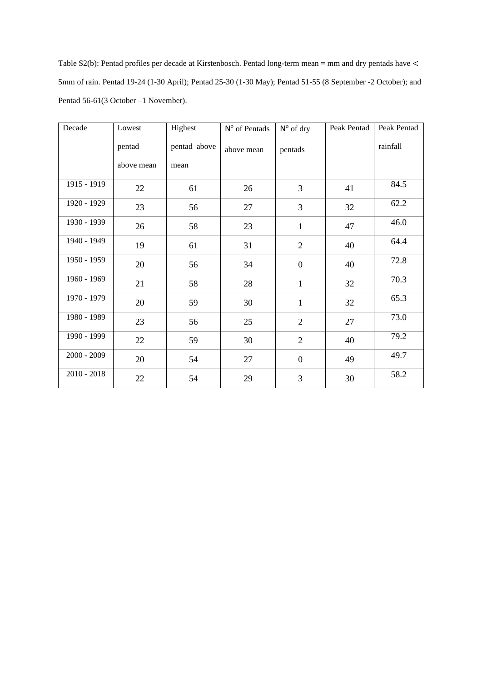Table S2(b): Pentad profiles per decade at Kirstenbosch. Pentad long-term mean = mm and dry pentads have < 5mm of rain. Pentad 19-24 (1-30 April); Pentad 25-30 (1-30 May); Pentad 51-55 (8 September -2 October); and Pentad 56-61(3 October –1 November).

| Decade        | Lowest     | Highest<br>N <sup>o</sup> of Pentads |            | $N^{\circ}$ of dry | Peak Pentad | Peak Pentad |  |
|---------------|------------|--------------------------------------|------------|--------------------|-------------|-------------|--|
|               | pentad     | pentad above                         | above mean | pentads            |             | rainfall    |  |
|               | above mean | mean                                 |            |                    |             |             |  |
| 1915 - 1919   | 22         | 61                                   | 26         | 3                  | 41          | 84.5        |  |
| 1920 - 1929   | 23         | 56                                   | 27         | 3                  | 32          | 62.2        |  |
| 1930 - 1939   | 26         | 58                                   | 23         | $\mathbf{1}$       | 47          | 46.0        |  |
| 1940 - 1949   | 19         | 61                                   | 31         | $\overline{2}$     | 40          | 64.4        |  |
| 1950 - 1959   | 20         | 56                                   | 34         | $\boldsymbol{0}$   | 40          | 72.8        |  |
| 1960 - 1969   | 21         | 58                                   | 28         | $\mathbf{1}$       | 32          | 70.3        |  |
| 1970 - 1979   | 20         | 59                                   | 30         | $\mathbf{1}$       | 32          | 65.3        |  |
| 1980 - 1989   | 23         | 56                                   | 25         | $\overline{2}$     | 27          | 73.0        |  |
| 1990 - 1999   | 22         | 59                                   | 30         | $\overline{2}$     | 40          | 79.2        |  |
| $2000 - 2009$ | 20         | 54                                   | 27         | $\mathbf{0}$       | 49          | 49.7        |  |
| $2010 - 2018$ | $22\,$     | 54                                   | 29         | 3                  | 30          | 58.2        |  |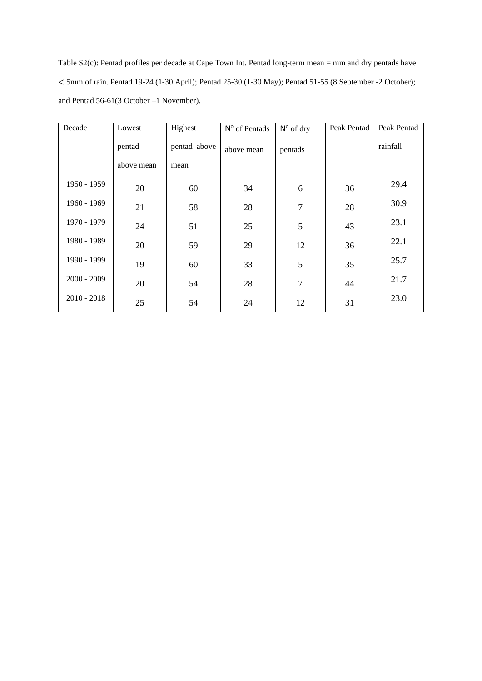Table S2(c): Pentad profiles per decade at Cape Town Int. Pentad long-term mean = mm and dry pentads have < 5mm of rain. Pentad 19-24 (1-30 April); Pentad 25-30 (1-30 May); Pentad 51-55 (8 September -2 October); and Pentad 56-61(3 October –1 November).

| Decade        | Lowest     | Highest      | N° of Pentads | $N^{\circ}$ of dry | Peak Pentad | Peak Pentad |
|---------------|------------|--------------|---------------|--------------------|-------------|-------------|
|               | pentad     | pentad above | above mean    | pentads            |             | rainfall    |
|               | above mean | mean         |               |                    |             |             |
| 1950 - 1959   | 20         | 60           | 34            | 6                  | 36          | 29.4        |
| 1960 - 1969   | 21         | 58           | 28            | $\overline{7}$     | 28          | 30.9        |
| 1970 - 1979   | 24         | 51           | 25            | 5                  | 43          | 23.1        |
| 1980 - 1989   | 20         | 59           | 29            | 12                 | 36          | 22.1        |
| 1990 - 1999   | 19         | 60           | 33            | 5                  | 35          | 25.7        |
| $2000 - 2009$ | 20         | 54           | 28            | $\overline{7}$     | 44          | 21.7        |
| $2010 - 2018$ | 25         | 54           | 24            | 12                 | 31          | 23.0        |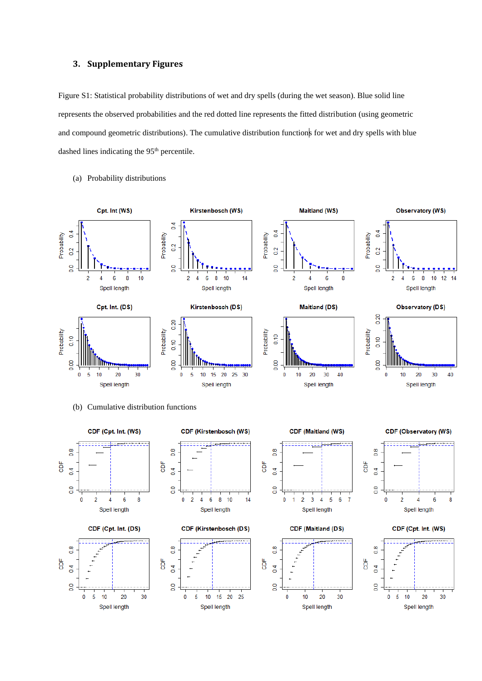### **3. Supplementary Figures**

Figure S1: Statistical probability distributions of wet and dry spells (during the wet season). Blue solid line represents the observed probabilities and the red dotted line represents the fitted distribution (using geometric and compound geometric distributions). The cumulative distribution functions for wet and dry spells with blue dashed lines indicating the 95<sup>th</sup> percentile.



#### (a) Probability distributions



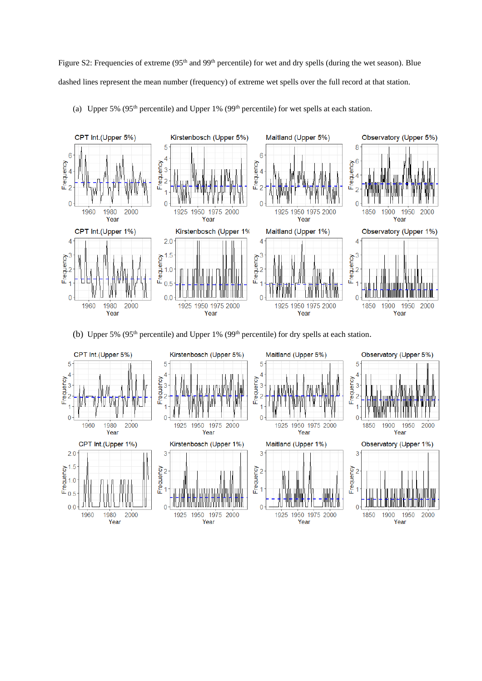Figure S2: Frequencies of extreme (95<sup>th</sup> and 99<sup>th</sup> percentile) for wet and dry spells (during the wet season). Blue dashed lines represent the mean number (frequency) of extreme wet spells over the full record at that station.



(a) Upper 5% (95<sup>th</sup> percentile) and Upper 1% (99<sup>th</sup> percentile) for wet spells at each station.

(b) Upper 5% (95<sup>th</sup> percentile) and Upper 1% (99<sup>th</sup> percentile) for dry spells at each station.

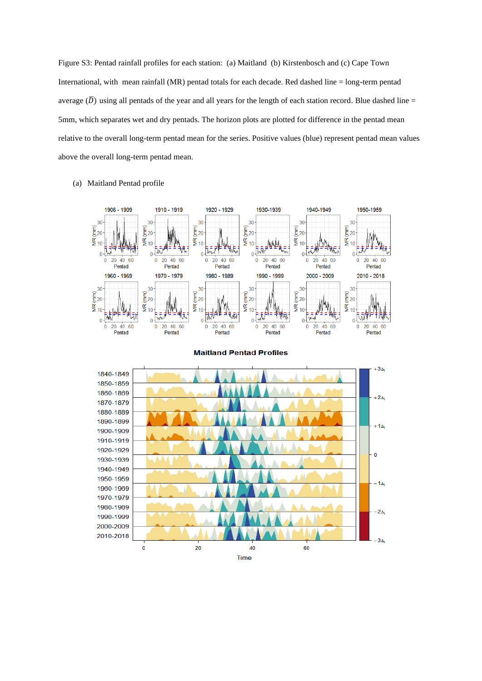Figure S3: Pentad rainfall profiles for each station: (a) Maitland (b) Kirstenbosch and (c) Cape Town International, with mean rainfall (MR) pentad totals for each decade. Red dashed line = long-term pentad average  $(\overline{D})$  using all pentads of the year and all years for the length of each station record. Blue dashed line = 5mm, which separates wet and dry pentads. The horizon plots are plotted for difference in the pentad mean relative to the overall long-term pentad mean for the series. Positive values (blue) represent pentad mean values above the overall long-term pentad mean.

(a) Maitland Pentad profile





**Maitland Pentad Profiles**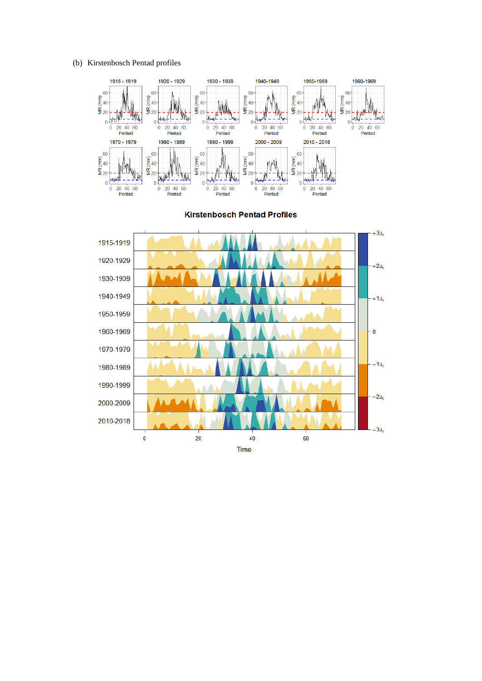(b) Kirstenbosch Pentad profiles



**Kirstenbosch Pentad Profiles** 

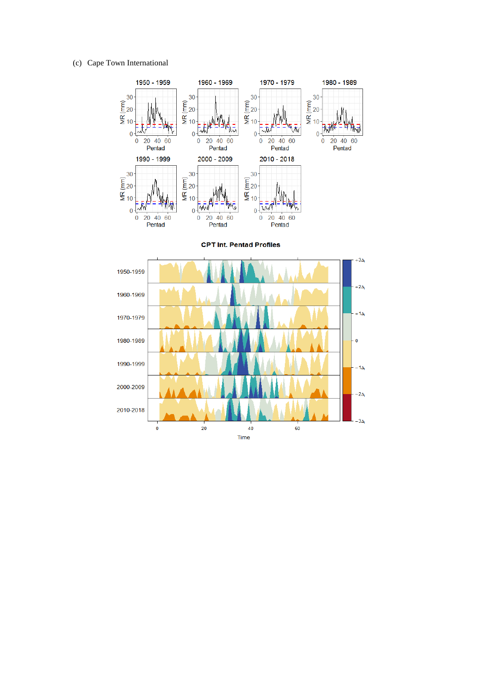### (c) Cape Town International



**CPT Int. Pentad Profiles**